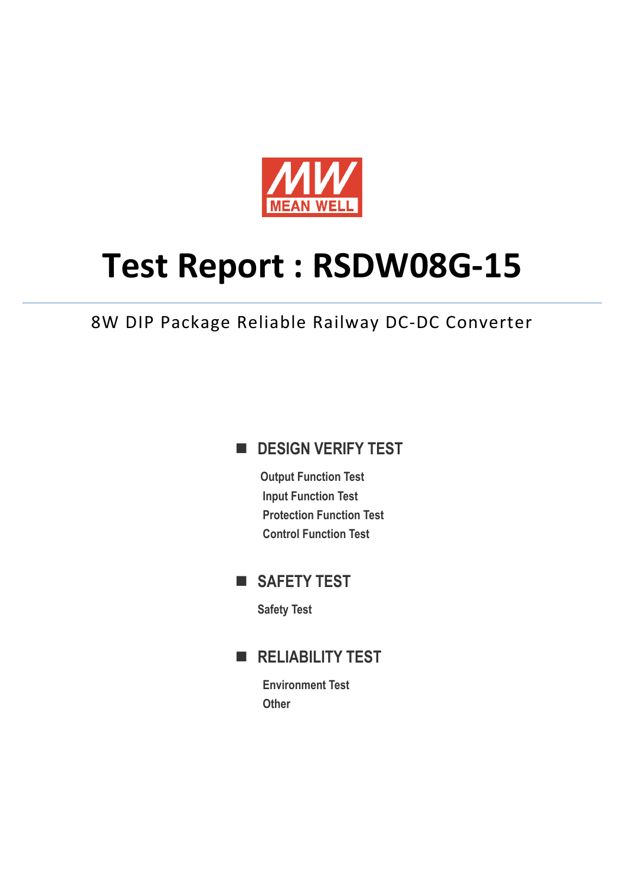

# **Test Report : RSDW08G-15**

8W DIP Package Reliable Railway DC-DC Converter

## **DESIGN VERIFY TEST**

**Output Function Test Input Function Test Protection Function Test Control Function Test** 

# **SAFETY TEST**

**Safety Test** 

# **RELIABILITY TEST**

**Environment Test Other**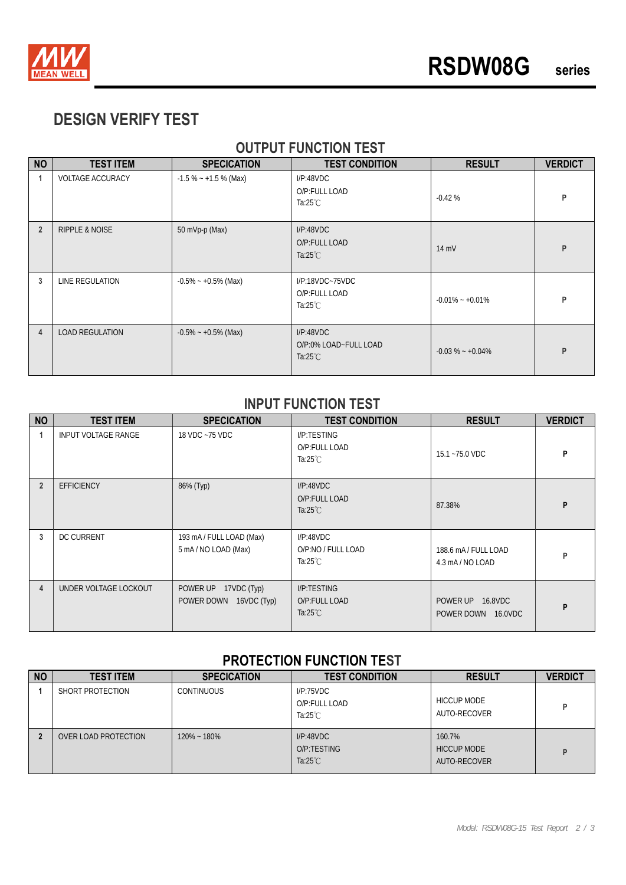

# **DESIGN VERIFY TEST**

### **OUTPUT FUNCTION TEST**

| <b>NO</b>      | <b>TEST ITEM</b>          | <b>SPECICATION</b>      | <b>TEST CONDITION</b>                                     | <b>RESULT</b>       | <b>VERDICT</b> |
|----------------|---------------------------|-------------------------|-----------------------------------------------------------|---------------------|----------------|
| 1              | <b>VOLTAGE ACCURACY</b>   | $-1.5\% - +1.5\%$ (Max) | I/P:48VDC<br>O/P:FULL LOAD<br>Ta: $25^{\circ}$ C          | $-0.42%$            | P              |
| $\overline{2}$ | <b>RIPPLE &amp; NOISE</b> | 50 mVp-p (Max)          | I/P:48VDC<br>O/P:FULL LOAD<br>Ta: $25^{\circ}$ C          | 14 mV               | P              |
| 3              | LINE REGULATION           | $-0.5\% - +0.5\%$ (Max) | $I/P$ :18VDC~75VDC<br>O/P:FULL LOAD<br>Ta: $25^{\circ}$ C | $-0.01\% - +0.01\%$ | P              |
| $\overline{4}$ | <b>LOAD REGULATION</b>    | $-0.5\% - +0.5\%$ (Max) | I/P:48VDC<br>O/P:0% LOAD~FULL LOAD<br>Ta: $25^{\circ}$ C  | $-0.03\% - +0.04\%$ | P              |

#### **INPUT FUNCTION TEST**

| <b>NO</b>      | <b>TEST ITEM</b>      | <b>SPECICATION</b>                                | <b>TEST CONDITION</b>                              | <b>RESULT</b>                            | <b>VERDICT</b> |
|----------------|-----------------------|---------------------------------------------------|----------------------------------------------------|------------------------------------------|----------------|
|                | INPUT VOLTAGE RANGE   | 18 VDC ~75 VDC                                    | I/P:TESTING<br>O/P:FULL LOAD<br>Ta:25 $°C$         | 15.1~75.0 VDC                            | P              |
| $\overline{2}$ | <b>EFFICIENCY</b>     | 86% (Typ)                                         | I/P:48VDC<br>O/P:FULL LOAD<br>Ta: $25^{\circ}$ C   | 87.38%                                   | P              |
| 3              | <b>DC CURRENT</b>     | 193 mA / FULL LOAD (Max)<br>5 mA/NO LOAD (Max)    | I/P:48VDC<br>O/P:NO / FULL LOAD<br>Ta:25 $°C$      | 188.6 mA / FULL LOAD<br>4.3 mA / NO LOAD | P              |
| 4              | UNDER VOLTAGE LOCKOUT | POWER UP<br>17VDC (Typ)<br>POWER DOWN 16VDC (Typ) | I/P:TESTING<br>O/P:FULL LOAD<br>Ta: $25^{\circ}$ C | POWER UP 16.8VDC<br>POWER DOWN 16.0VDC   | P              |

#### **PROTECTION FUNCTION TEST**

| <b>NO</b> | <b>TEST ITEM</b>     | <b>SPECICATION</b> | <b>TEST CONDITION</b>                           | <b>RESULT</b>                                | <b>VERDICT</b> |
|-----------|----------------------|--------------------|-------------------------------------------------|----------------------------------------------|----------------|
|           | SHORT PROTECTION     | <b>CONTINUOUS</b>  | IP:75VDC<br>O/P:FULL LOAD<br>Ta: $25^{\circ}$ C | <b>HICCUP MODE</b><br>AUTO-RECOVER           | D              |
|           | OVER LOAD PROTECTION | $120\% - 180\%$    | I/P:48VDC<br>O/P:TESTING<br>Ta: $25^{\circ}$ C  | 160.7%<br><b>HICCUP MODE</b><br>AUTO-RECOVER | D              |